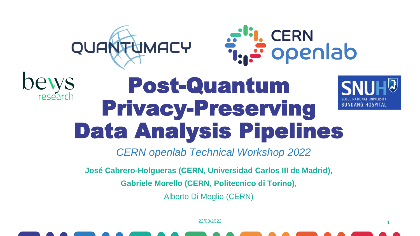



1

IDANG HOSPITAL

#### bews Post-Quantum research Privacy-Preserving Data Analysis Pipelines



**José Cabrero-Holgueras (CERN, Universidad Carlos III de Madrid),**

**Gabriele Morello (CERN, Politecnico di Torino),**

Alberto Di Meglio (CERN)

22/03/2022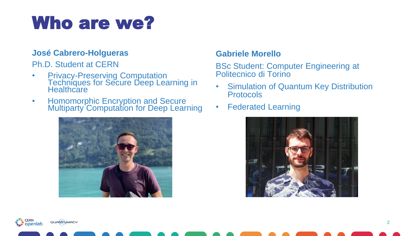#### Who are we?

#### **José Cabrero-Holgueras**

Ph.D. Student at CERN

- Privacy-Preserving Computation Techniques for Secure Deep Learning in **Healthcare**
- Homomorphic Encryption and Secure Multiparty Computation for Deep Learning



#### **Gabriele Morello**

BSc Student: Computer Engineering at Politecnico di Torino

- Simulation of Quantum Key Distribution **Protocols**
- Federated Learning

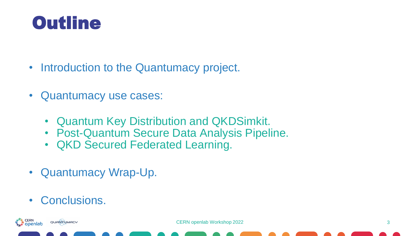#### **Outline**

- Introduction to the Quantumacy project.
- Quantumacy use cases:
	- Quantum Key Distribution and QKDSimkit.
	- Post-Quantum Secure Data Analysis Pipeline.
	- QKD Secured Federated Learning.
- Quantumacy Wrap-Up.
- Conclusions.

QUANTUMACY

انا, CERN<br>تو Openlab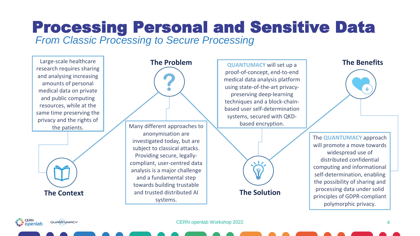#### *From Classic Processing to Secure Processing* Processing Personal and Sensitive Data

Large-scale healthcare research requires sharing and analysing increasing amounts of personal medical data on private and public computing resources, while at the same time preserving the privacy and the rights of





**QUANTUMACY** will set up a proof-of-concept, end-to-end medical data analysis platform using state-of-the-art privacypreserving deep-learning techniques and a block-chainbased user self-determination systems, secured with QKDbased encryption.



#### **The Benefits**



The **QUANTUMACY** approach will promote a move towards widespread use of distributed confidential computing and informational self-determination, enabling the possibility of sharing and processing data under solid principles of GDPR-compliant polymorphic privacy.

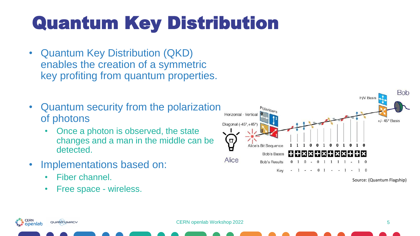## Quantum Key Distribution

- Quantum Key Distribution (QKD) enables the creation of a symmetric key profiting from quantum properties.
- Quantum security from the polarization of photons
	- Once a photon is observed, the state changes and a man in the middle can be detected.
- Implementations based on:
	- Fiber channel.
	- Free space wireless.



Source: (Quantum Flagship)

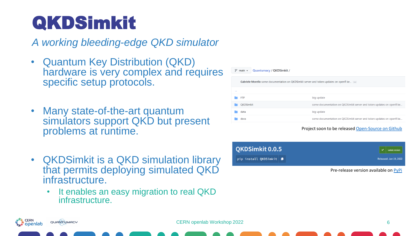## QKDSimkit

*A working bleeding-edge QKD simulator*

- Quantum Key Distribution (QKD) hardware is very complex and requires specific setup protocols.
- Many state-of-the-art quantum simulators support QKD but present problems at runtime.
- QKDSimkit is a QKD simulation library that permits deploying simulated QKD infrastructure.
	- It enables an easy migration to real QKD infrastructure.

| ڡٟۄ    | Quantumacy / QKDSimkit /<br>$main -$                                                   |                                                                       |
|--------|----------------------------------------------------------------------------------------|-----------------------------------------------------------------------|
|        | Gabriele Morello some documentation on QKDSimkit server and token updates on openfl ke |                                                                       |
| $\sim$ |                                                                                        |                                                                       |
|        | <b>FTP</b>                                                                             | big update                                                            |
|        | <b>OKDSimkit</b>                                                                       | some documentation on QKDSimkit server and token updates on openfl ke |
|        | data                                                                                   | big update                                                            |
|        | docs                                                                                   | some documentation on QKDSimkit server and token updates on openfl ke |
|        |                                                                                        |                                                                       |

Project soon to be released [Open-Source](https://github.com/CERN/Quantumacy) on Github

Pre-release version available on [PyPi](https://pypi.org/project/QKDSimkit/)

**CERN** QUANTUMACY openlab ٿي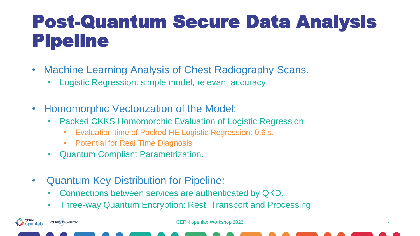#### Post-Quantum Secure Data Analysis Pipeline

- Machine Learning Analysis of Chest Radiography Scans.
	- Logistic Regression: simple model, relevant accuracy.
- Homomorphic Vectorization of the Model:
	- Packed CKKS Homomorphic Evaluation of Logistic Regression.
		- Evaluation time of Packed HE Logistic Regression: 0.6 s.
		- Potential for Real Time Diagnosis.
	- Quantum Compliant Parametrization.
- Quantum Key Distribution for Pipeline:

CERN

i openlab

QUANTUMACY

- Connections between services are authenticated by QKD.
- Three-way Quantum Encryption: Rest, Transport and Processing.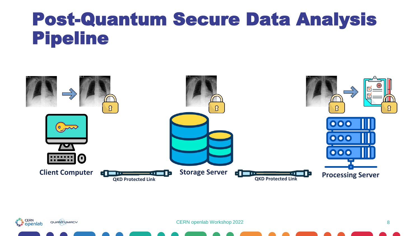#### Post-Quantum Secure Data Analysis Pipeline





CERN openlab Workshop 2022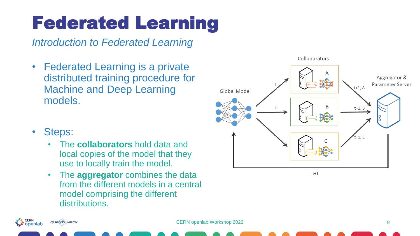## Federated Learning

*Introduction to Federated Learning*

- Federated Learning is a private distributed training procedure for Machine and Deep Learning models.
- Collaborators Aggregator & Parameter Server  $t+1$ , A Global Model  $t+1$ , B  $t+1. C$

 $t+1$ 

- Steps:
	- The **collaborators** hold data and local copies of the model that they use to locally train the model.
	- The **aggregator** combines the data from the different models in a central model comprising the different distributions.

**CERN** QUANTUMACY openlab يني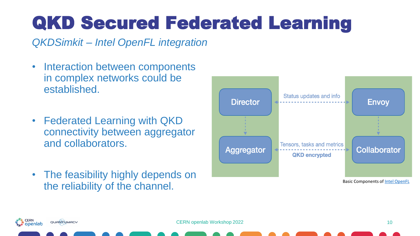## QKD Secured Federated Learning

*QKDSimkit – Intel OpenFL integration*

- Interaction between components in complex networks could be established.
- Federated Learning with QKD connectivity between aggregator and collaborators.
- The feasibility highly depends on the reliability of the channel.



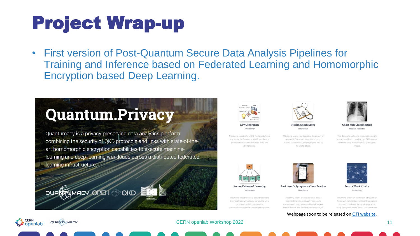## Project Wrap-up

• First version of Post-Quantum Secure Data Analysis Pipelines for Training and Inference based on Federated Learning and Homomorphic Encryption based Deep Learning.

#### **Quantum.Privacy**

Quantumacy is a privacy-preserving data analytics platform combining the security of QKD protocols and links with state-of-theart homomorphic encryption capabilities to execute machinelearning and deep-learning workloads across a distributed federatedlearning infrastructure.





**Key Generatio** Technology

This demo explains how OKD works and shows how to use the Quantumacy QKD simulator to generate secure symmetric keys using the BB84 protocol.

This demo shows how to protect the privacy of personal information transmitted through Internet connections using keys generated by

Health Check Scor Healthcare

the OKD protocol.



Chest MRI Classification Medical Research

This demo shows how to implement a simple image classification pipeline over QKD-secure networks using homomorphically-encrypted images.



**Secure Federated Learning** Technology

This demo explains how to extend Federated Learning frameworks to use symmetric keys generated by QKD to secure the nmunication between the computing nodes



**Parkinson's Symptoms Classification** Healthcare

This demo shows an application of secure federated learning to classify Parkinson's tremor symptoms from wearable and portable sensor devices. The links between the analysis

framework to record and validate transactions across a distributed data analysis pipeline using keys generated by the QKD infrastructure

Webpage soon to be released on [QTI website.](https://quantum.cern/)



**Secure Block Chains** Technology This demo shows an example of a block chair

**CERN** QUANTUMACY r openlab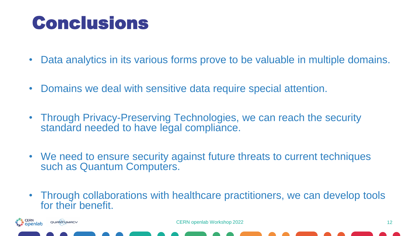#### **Conclusions**

cern<br>**openlab** 

QUANTUMACY

- Data analytics in its various forms prove to be valuable in multiple domains.
- Domains we deal with sensitive data require special attention.
- Through Privacy-Preserving Technologies, we can reach the security standard needed to have legal compliance.
- We need to ensure security against future threats to current techniques such as Quantum Computers.
- Through collaborations with healthcare practitioners, we can develop tools for their benefit.

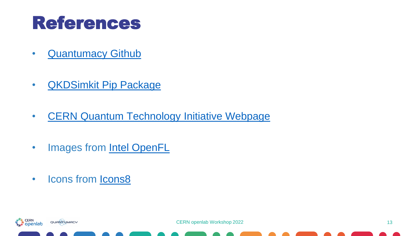#### References

- [Quantumacy](https://github.com/CERN/Quantumacy) Github
- [QKDSimkit Pip Package](https://pypi.org/project/QKDSimkit/)
- [CERN Quantum Technology Initiative Webpage](https://quantum.cern/)
- Images from [Intel OpenFL](https://github.com/intel/openfl)
- Icons from [Icons8](https://icons8.com/)

QUANTUMACY

a<sup>ti</sup>i, CERN<br>تونية Openlab